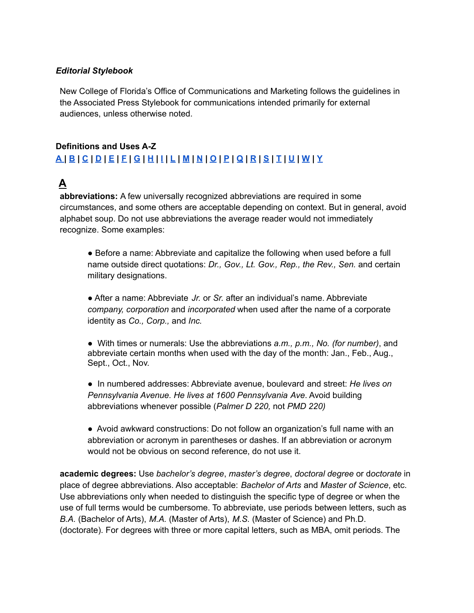#### *Editorial Stylebook*

New College of Florida's Office of Communications and Marketing follows the guidelines in the Associated Press Stylebook for communications intended primarily for external audiences, unless otherwise noted.

#### **Definitions and Uses A-Z** [A](#page-0-0)[B](#page-3-0)[C](#page-4-0)[D](#page-7-0)[E](#page-9-0)[F](#page-9-1)I[G](#page-10-0)[H](#page-10-1)[I](#page-11-0)[L](#page-11-1)L[M](#page-12-0)[N](#page-13-0)[O](#page-15-0)[P](#page-15-1)[Q](#page-16-0)[R](#page-16-1)[S](#page-17-0)I[T](#page-19-0)[U](#page-20-0)[W](#page-20-1)[Y](#page-21-0)

## <span id="page-0-0"></span>**A**

**abbreviations:** A few universally recognized abbreviations are required in some circumstances, and some others are acceptable depending on context. But in general, avoid alphabet soup. Do not use abbreviations the average reader would not immediately recognize. Some examples:

● Before a name: Abbreviate and capitalize the following when used before a full name outside direct quotations: *Dr., Gov., Lt. Gov., Rep., the Rev., Sen.* and certain military designations.

● After a name: Abbreviate *Jr.* or *Sr.* after an individual's name. Abbreviate *company, corporation* and *incorporated* when used after the name of a corporate identity as *Co., Corp.,* and *Inc.*

- With times or numerals: Use the abbreviations *a.m., p.m., No. (for number)*, and abbreviate certain months when used with the day of the month: Jan., Feb., Aug., Sept., Oct., Nov.
- In numbered addresses: Abbreviate avenue, boulevard and street: *He lives on Pennsylvania Avenue. He lives at 1600 Pennsylvania Ave*. Avoid building abbreviations whenever possible (*Palmer D 220,* not *PMD 220)*
- Avoid awkward constructions: Do not follow an organization's full name with an abbreviation or acronym in parentheses or dashes. If an abbreviation or acronym would not be obvious on second reference, do not use it.

**academic degrees:** Use *bachelor's degree*, *master's degree*, *doctoral degree* or d*octorate* in place of degree abbreviations. Also acceptable: *Bachelor of Arts* and *Master of Science*, etc. Use abbreviations only when needed to distinguish the specific type of degree or when the use of full terms would be cumbersome. To abbreviate, use periods between letters, such as *B.A.* (Bachelor of Arts), *M.A.* (Master of Arts), *M.S.* (Master of Science) and Ph.D. (doctorate). For degrees with three or more capital letters, such as MBA, omit periods. The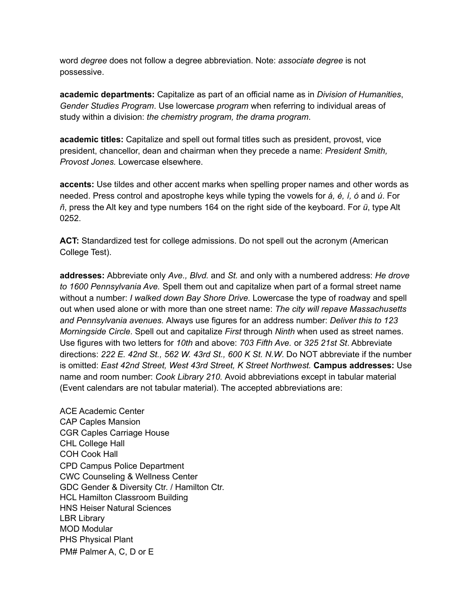word *degree* does not follow a degree abbreviation. Note: *associate degree* is not possessive.

**academic departments:** Capitalize as part of an official name as in *Division of Humanities*, *Gender Studies Program*. Use lowercase *program* when referring to individual areas of study within a division: *the chemistry program, the drama program*.

**academic titles:** Capitalize and spell out formal titles such as president, provost, vice president, chancellor, dean and chairman when they precede a name: *President Smith, Provost Jones.* Lowercase elsewhere.

**accents:** Use tildes and other accent marks when spelling proper names and other words as needed. Press control and apostrophe keys while typing the vowels for *á, é, í, ó* and *ú*. For *ñ*, press the Alt key and type numbers 164 on the right side of the keyboard. For *ü*, type Alt 0252.

**ACT:** Standardized test for college admissions. Do not spell out the acronym (American College Test).

**addresses:** Abbreviate only *Ave., Blvd.* and *St.* and only with a numbered address: *He drove to 1600 Pennsylvania Ave.* Spell them out and capitalize when part of a formal street name without a number: *I walked down Bay Shore Drive.* Lowercase the type of roadway and spell out when used alone or with more than one street name: *The city will repave Massachusetts and Pennsylvania avenues.* Always use figures for an address number: *Deliver this to 123 Morningside Circle*. Spell out and capitalize *First* through *Ninth* when used as street names. Use figures with two letters for *10th* and above: *703 Fifth Ave.* or *325 21st St*. Abbreviate directions: *222 E. 42nd St., 562 W. 43rd St., 600 K St. N.W*. Do NOT abbreviate if the number is omitted: *East 42nd Street, West 43rd Street, K Street Northwest.* **Campus addresses:** Use name and room number: *Cook Library 210.* Avoid abbreviations except in tabular material (Event calendars are not tabular material). The accepted abbreviations are:

ACE Academic Center CAP Caples Mansion CGR Caples Carriage House CHL College Hall COH Cook Hall CPD Campus Police Department CWC Counseling & Wellness Center GDC Gender & Diversity Ctr. / Hamilton Ctr. HCL Hamilton Classroom Building HNS Heiser Natural Sciences LBR Library MOD Modular PHS Physical Plant PM# Palmer A, C, D or E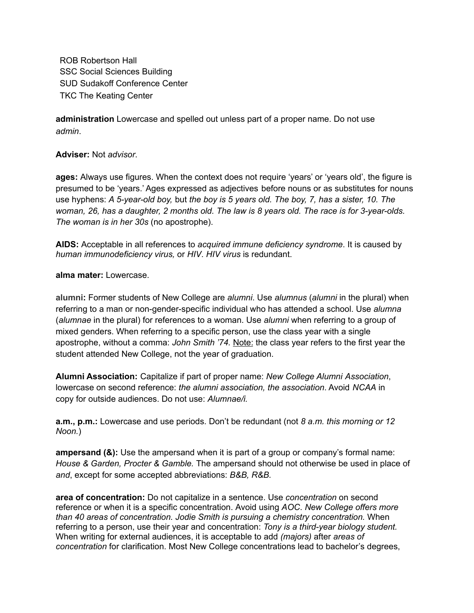ROB Robertson Hall SSC Social Sciences Building SUD Sudakoff Conference Center TKC The Keating Center

**administration** Lowercase and spelled out unless part of a proper name. Do not use *admin*.

**Adviser:** Not *advisor*.

**ages:** Always use figures. When the context does not require 'years' or 'years old', the figure is presumed to be 'years.' Ages expressed as adjectives before nouns or as substitutes for nouns use hyphens: *A 5-year-old boy,* but *the boy is 5 years old. The boy, 7, has a sister, 10. The* woman, 26, has a daughter, 2 months old. The law is 8 years old. The race is for 3-year-olds. *The woman is in her 30s* (no apostrophe).

**AIDS:** Acceptable in all references to *acquired immune deficiency syndrome*. It is caused by *human immunodeficiency virus,* or *HIV*. *HIV virus* is redundant.

**alma mater:** Lowercase.

**alumni:** Former students of New College are *alumni*. Use *alumnus* (*alumni* in the plural) when referring to a man or non-gender-specific individual who has attended a school. Use *alumna* (*alumnae* in the plural) for references to a woman. Use *alumni* when referring to a group of mixed genders. When referring to a specific person, use the class year with a single apostrophe, without a comma: *John Smith '74.* Note: the class year refers to the first year the student attended New College, not the year of graduation.

**Alumni Association:** Capitalize if part of proper name: *New College Alumni Association*, lowercase on second reference: *the alumni association, the association*. Avoid *NCAA* in copy for outside audiences. Do not use: *Alumnae/i.*

**a.m., p.m.:** Lowercase and use periods. Don't be redundant (not *8 a.m. this morning or 12 Noon.*)

**ampersand (&):** Use the ampersand when it is part of a group or company's formal name: *House & Garden, Procter & Gamble.* The ampersand should not otherwise be used in place of *and*, except for some accepted abbreviations: *B&B, R&B.*

**area of concentration:** Do not capitalize in a sentence. Use *concentration* on second reference or when it is a specific concentration. Avoid using *AOC*. *New College offers more than 40 areas of concentration. Jodie Smith is pursuing a chemistry concentration.* When referring to a person, use their year and concentration: *Tony is a third-year biology student.* When writing for external audiences, it is acceptable to add *(majors)* after *areas of concentration* for clarification. Most New College concentrations lead to bachelor's degrees,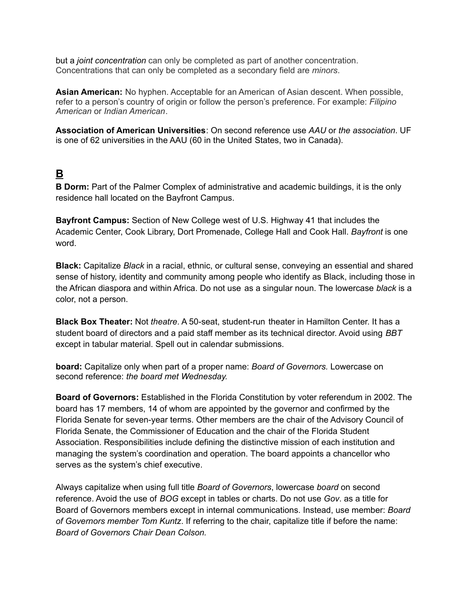but a *joint concentration* can only be completed as part of another concentration. Concentrations that can only be completed as a secondary field are *minors*.

**Asian American:** No hyphen. Acceptable for an American of Asian descent. When possible, refer to a person's country of origin or follow the person's preference. For example: *Filipino American* or *Indian American*.

**Association of American Universities**: On second reference use *AAU* or *the association*. UF is one of 62 universities in the AAU (60 in the United States, two in Canada).

## <span id="page-3-0"></span>**B**

**B Dorm:** Part of the Palmer Complex of administrative and academic buildings, it is the only residence hall located on the Bayfront Campus.

**Bayfront Campus:** Section of New College west of U.S. Highway 41 that includes the Academic Center, Cook Library, Dort Promenade, College Hall and Cook Hall. *Bayfront* is one word.

**Black:** Capitalize *Black* in a racial, ethnic, or cultural sense, conveying an essential and shared sense of history, identity and community among people who identify as Black, including those in the African diaspora and within Africa. Do not use as a singular noun. The lowercase *black* is a color, not a person.

**Black Box Theater:** Not *theatre*. A 50-seat, student-run theater in Hamilton Center. It has a student board of directors and a paid staff member as its technical director. Avoid using *BBT* except in tabular material. Spell out in calendar submissions.

**board:** Capitalize only when part of a proper name: *Board of Governors.* Lowercase on second reference: *the board met Wednesday.*

**Board of Governors:** Established in the Florida Constitution by voter referendum in 2002. The board has 17 members, 14 of whom are appointed by the governor and confirmed by the Florida Senate for seven-year terms. Other members are the chair of the Advisory Council of Florida Senate, the Commissioner of Education and the chair of the Florida Student Association. Responsibilities include defining the distinctive mission of each institution and managing the system's coordination and operation. The board appoints a chancellor who serves as the system's chief executive.

Always capitalize when using full title *Board of Governors*, lowercase *board* on second reference. Avoid the use of *BOG* except in tables or charts. Do not use *Gov*. as a title for Board of Governors members except in internal communications. Instead, use member: *Board of Governors member Tom Kuntz*. If referring to the chair, capitalize title if before the name: *Board of Governors Chair Dean Colson.*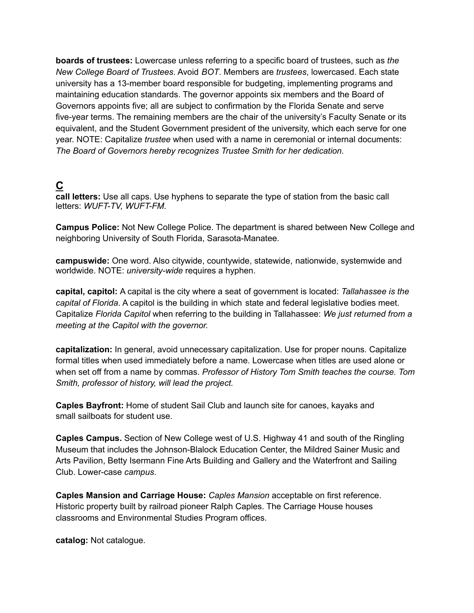**boards of trustees:** Lowercase unless referring to a specific board of trustees, such as *the New College Board of Trustees*. Avoid *BOT*. Members are *trustees*, lowercased. Each state university has a 13-member board responsible for budgeting, implementing programs and maintaining education standards. The governor appoints six members and the Board of Governors appoints five; all are subject to confirmation by the Florida Senate and serve five-year terms. The remaining members are the chair of the university's Faculty Senate or its equivalent, and the Student Government president of the university, which each serve for one year. NOTE: Capitalize *trustee* when used with a name in ceremonial or internal documents: *The Board of Governors hereby recognizes Trustee Smith for her dedication.*

## <span id="page-4-0"></span>**C**

**call letters:** Use all caps. Use hyphens to separate the type of station from the basic call letters: *WUFT-TV, WUFT-FM.*

**Campus Police:** Not New College Police. The department is shared between New College and neighboring University of South Florida, Sarasota-Manatee.

**campuswide:** One word. Also citywide, countywide, statewide, nationwide, systemwide and worldwide. NOTE: *university-wide* requires a hyphen.

**capital, capitol:** A capital is the city where a seat of government is located: *Tallahassee is the capital of Florida*. A capitol is the building in which state and federal legislative bodies meet. Capitalize *Florida Capitol* when referring to the building in Tallahassee: *We just returned from a meeting at the Capitol with the governor.*

**capitalization:** In general, avoid unnecessary capitalization. Use for proper nouns. Capitalize formal titles when used immediately before a name. Lowercase when titles are used alone or when set off from a name by commas. *Professor of History Tom Smith teaches the course. Tom Smith, professor of history, will lead the project.*

**Caples Bayfront:** Home of student Sail Club and launch site for canoes, kayaks and small sailboats for student use.

**Caples Campus.** Section of New College west of U.S. Highway 41 and south of the Ringling Museum that includes the Johnson-Blalock Education Center, the Mildred Sainer Music and Arts Pavilion, Betty Isermann Fine Arts Building and Gallery and the Waterfront and Sailing Club. Lower-case *campus*.

**Caples Mansion and Carriage House:** *Caples Mansion* acceptable on first reference. Historic property built by railroad pioneer Ralph Caples. The Carriage House houses classrooms and Environmental Studies Program offices.

**catalog:** Not catalogue.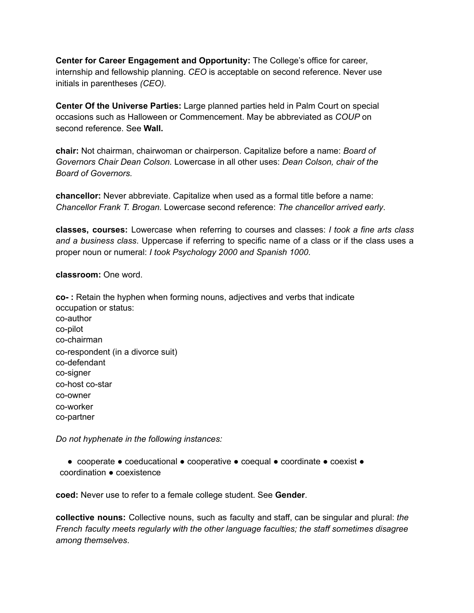**Center for Career Engagement and Opportunity:** The College's office for career, internship and fellowship planning. *CEO* is acceptable on second reference. Never use initials in parentheses *(CEO).*

**Center Of the Universe Parties:** Large planned parties held in Palm Court on special occasions such as Halloween or Commencement. May be abbreviated as *COUP* on second reference. See **Wall.**

**chair:** Not chairman, chairwoman or chairperson. Capitalize before a name: *Board of Governors Chair Dean Colson.* Lowercase in all other uses: *Dean Colson, chair of the Board of Governors.*

**chancellor:** Never abbreviate. Capitalize when used as a formal title before a name: *Chancellor Frank T. Brogan.* Lowercase second reference: *The chancellor arrived early*.

**classes, courses:** Lowercase when referring to courses and classes: *I took a fine arts class and a business class*. Uppercase if referring to specific name of a class or if the class uses a proper noun or numeral: *I took Psychology 2000 and Spanish 1000*.

**classroom:** One word.

**co- :** Retain the hyphen when forming nouns, adjectives and verbs that indicate occupation or status:

co-author co-pilot co-chairman co-respondent (in a divorce suit) co-defendant co-signer co-host co-star co-owner co-worker co-partner

*Do not hyphenate in the following instances:*

● cooperate ● coeducational ● cooperative ● coequal ● coordinate ● coexist ● coordination ● coexistence

**coed:** Never use to refer to a female college student. See **Gender**.

**collective nouns:** Collective nouns, such as faculty and staff, can be singular and plural: *the French faculty meets regularly with the other language faculties; the staff sometimes disagree among themselves*.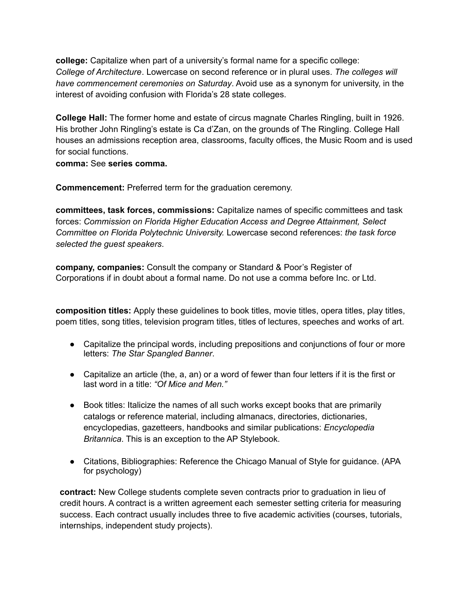**college:** Capitalize when part of a university's formal name for a specific college: *College of Architecture*. Lowercase on second reference or in plural uses. *The colleges will have commencement ceremonies on Saturday*. Avoid use as a synonym for university, in the interest of avoiding confusion with Florida's 28 state colleges.

**College Hall:** The former home and estate of circus magnate Charles Ringling, built in 1926. His brother John Ringling's estate is Ca d'Zan, on the grounds of The Ringling. College Hall houses an admissions reception area, classrooms, faculty offices, the Music Room and is used for social functions.

**comma:** See **series comma.**

**Commencement:** Preferred term for the graduation ceremony.

**committees, task forces, commissions:** Capitalize names of specific committees and task forces: *Commission on Florida Higher Education Access and Degree Attainment, Select Committee on Florida Polytechnic University.* Lowercase second references: *the task force selected the guest speakers*.

**company, companies:** Consult the company or Standard & Poor's Register of Corporations if in doubt about a formal name. Do not use a comma before Inc. or Ltd.

**composition titles:** Apply these guidelines to book titles, movie titles, opera titles, play titles, poem titles, song titles, television program titles, titles of lectures, speeches and works of art.

- Capitalize the principal words, including prepositions and conjunctions of four or more letters: *The Star Spangled Banner*.
- Capitalize an article (the, a, an) or a word of fewer than four letters if it is the first or last word in a title: *"Of Mice and Men."*
- Book titles: Italicize the names of all such works except books that are primarily catalogs or reference material, including almanacs, directories, dictionaries, encyclopedias, gazetteers, handbooks and similar publications: *Encyclopedia Britannica*. This is an exception to the AP Stylebook.
- Citations, Bibliographies: Reference the Chicago Manual of Style for guidance. (APA for psychology)

**contract:** New College students complete seven contracts prior to graduation in lieu of credit hours. A contract is a written agreement each semester setting criteria for measuring success. Each contract usually includes three to five academic activities (courses, tutorials, internships, independent study projects).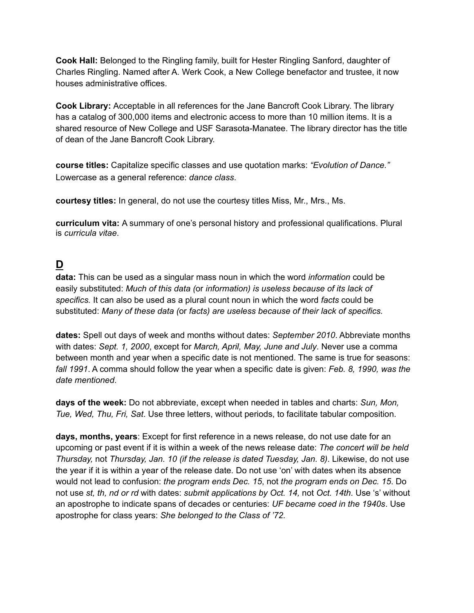**Cook Hall:** Belonged to the Ringling family, built for Hester Ringling Sanford, daughter of Charles Ringling. Named after A. Werk Cook, a New College benefactor and trustee, it now houses administrative offices.

**Cook Library:** Acceptable in all references for the Jane Bancroft Cook Library. The library has a catalog of 300,000 items and electronic access to more than 10 million items. It is a shared resource of New College and USF Sarasota-Manatee. The library director has the title of dean of the Jane Bancroft Cook Library.

**course titles:** Capitalize specific classes and use quotation marks: *"Evolution of Dance."* Lowercase as a general reference: *dance class*.

**courtesy titles:** In general, do not use the courtesy titles Miss, Mr., Mrs., Ms.

**curriculum vita:** A summary of one's personal history and professional qualifications. Plural is *curricula vitae*.

## <span id="page-7-0"></span>**D**

**data:** This can be used as a singular mass noun in which the word *information* could be easily substituted: *Much of this data (*or *information) is useless because of its lack of specifics.* It can also be used as a plural count noun in which the word *facts* could be substituted: *Many of these data (*or *facts) are useless because of their lack of specifics.*

**dates:** Spell out days of week and months without dates: *September 2010*. Abbreviate months with dates: *Sept. 1, 2000*, except for *March, April, May, June and July*. Never use a comma between month and year when a specific date is not mentioned. The same is true for seasons: *fall 1991*. A comma should follow the year when a specific date is given: *Feb. 8, 1990, was the date mentioned*.

**days of the week:** Do not abbreviate, except when needed in tables and charts: *Sun, Mon, Tue, Wed, Thu, Fri, Sat*. Use three letters, without periods, to facilitate tabular composition.

**days, months, years**: Except for first reference in a news release, do not use date for an upcoming or past event if it is within a week of the news release date: *The concert will be held Thursday,* not *Thursday, Jan. 10 (if the release is dated Tuesday, Jan. 8)*. Likewise, do not use the year if it is within a year of the release date. Do not use 'on' with dates when its absence would not lead to confusion: *the program ends Dec. 15*, not *the program ends on Dec. 15*. Do not use *st, th, nd or rd* with dates: *submit applications by Oct. 14,* not *Oct. 14th*. Use 's' without an apostrophe to indicate spans of decades or centuries: *UF became coed in the 1940s*. Use apostrophe for class years: *She belonged to the Class of '72.*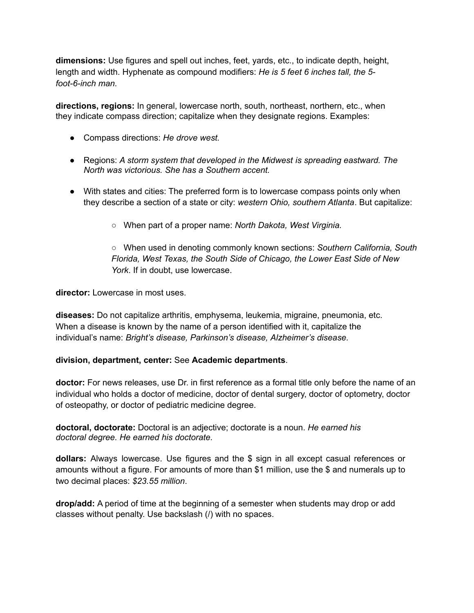**dimensions:** Use figures and spell out inches, feet, yards, etc., to indicate depth, height, length and width. Hyphenate as compound modifiers: *He is 5 feet 6 inches tall, the 5 foot-6-inch man.*

**directions, regions:** In general, lowercase north, south, northeast, northern, etc., when they indicate compass direction; capitalize when they designate regions. Examples:

- Compass directions: *He drove west.*
- Regions: *A storm system that developed in the Midwest is spreading eastward. The North was victorious. She has a Southern accent.*
- With states and cities: The preferred form is to lowercase compass points only when they describe a section of a state or city: *western Ohio, southern Atlanta*. But capitalize:
	- When part of a proper name: *North Dakota, West Virginia.*

○ When used in denoting commonly known sections: *Southern California, South Florida, West Texas, the South Side of Chicago, the Lower East Side of New York*. If in doubt, use lowercase.

**director:** Lowercase in most uses.

**diseases:** Do not capitalize arthritis, emphysema, leukemia, migraine, pneumonia, etc. When a disease is known by the name of a person identified with it, capitalize the individual's name: *Bright's disease, Parkinson's disease, Alzheimer's disease.*

#### **division, department, center:** See **Academic departments**.

**doctor:** For news releases, use Dr. in first reference as a formal title only before the name of an individual who holds a doctor of medicine, doctor of dental surgery, doctor of optometry, doctor of osteopathy, or doctor of pediatric medicine degree.

**doctoral, doctorate:** Doctoral is an adjective; doctorate is a noun. *He earned his doctoral degree. He earned his doctorate.*

**dollars:** Always lowercase. Use figures and the \$ sign in all except casual references or amounts without a figure. For amounts of more than \$1 million, use the \$ and numerals up to two decimal places: *\$23.55 million*.

**drop/add:** A period of time at the beginning of a semester when students may drop or add classes without penalty. Use backslash (/) with no spaces.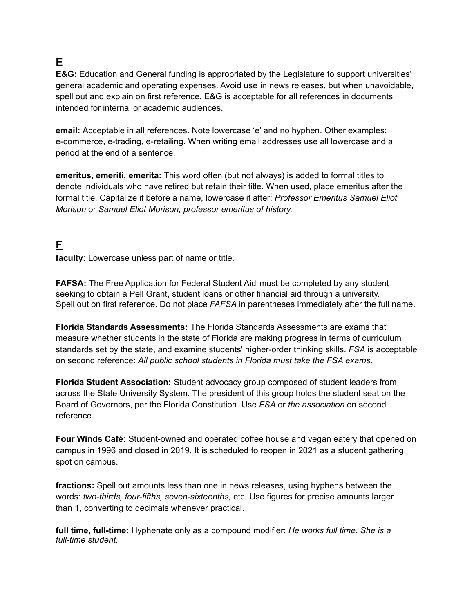# <span id="page-9-0"></span>**E**

**E&G:** Education and General funding is appropriated by the Legislature to support universities' general academic and operating expenses. Avoid use in news releases, but when unavoidable, spell out and explain on first reference. E&G is acceptable for all references in documents intended for internal or academic audiences.

**email:** Acceptable in all references. Note lowercase 'e' and no hyphen. Other examples: e-commerce, e-trading, e-retailing. When writing email addresses use all lowercase and a period at the end of a sentence.

**emeritus, emeriti, emerita:** This word often (but not always) is added to formal titles to denote individuals who have retired but retain their title. When used, place emeritus after the formal title. Capitalize if before a name, lowercase if after: *Professor Emeritus Samuel Eliot Morison* or *Samuel Eliot Morison, professor emeritus of history.*

## <span id="page-9-1"></span>**F**

**faculty:** Lowercase unless part of name or title.

**FAFSA:** The Free Application for Federal Student Aid must be completed by any student seeking to obtain a Pell Grant, student loans or other financial aid through a university. Spell out on first reference. Do not place *FAFSA* in parentheses immediately after the full name.

**Florida Standards Assessments:** The Florida Standards Assessments are exams that measure whether students in the state of Florida are making progress in terms of curriculum standards set by the state, and examine students' higher-order thinking skills. *FSA* is acceptable on second reference: *All public school students in Florida must take the FSA exams.*

**Florida Student Association:** Student advocacy group composed of student leaders from across the State University System. The president of this group holds the student seat on the Board of Governors, per the Florida Constitution. Use *FSA* or *the association* on second reference.

**Four Winds Café:** Student-owned and operated coffee house and vegan eatery that opened on campus in 1996 and closed in 2019. It is scheduled to reopen in 2021 as a student gathering spot on campus.

**fractions:** Spell out amounts less than one in news releases, using hyphens between the words: *two-thirds, four-fifths, seven-sixteenths,* etc. Use figures for precise amounts larger than 1, converting to decimals whenever practical.

**full time, full-time:** Hyphenate only as a compound modifier: *He works full time. She is a full-time student.*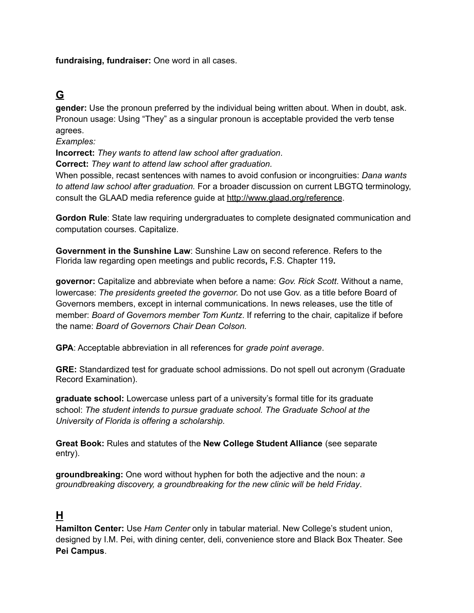**fundraising, fundraiser:** One word in all cases.

## <span id="page-10-0"></span>**G**

**gender:** Use the pronoun preferred by the individual being written about. When in doubt, ask. Pronoun usage: Using "They" as a singular pronoun is acceptable provided the verb tense agrees.

*Examples:*

**Incorrect:** *They wants to attend law school after graduation*.

**Correct:** *They want to attend law school after graduation.*

When possible, recast sentences with names to avoid confusion or incongruities: *Dana wants to attend law school after graduation.* For a broader discussion on current LBGTQ terminology, consult the GLAAD media reference guide at <http://www.glaad.org/reference>.

**Gordon Rule**: State law requiring undergraduates to complete designated communication and computation courses. Capitalize.

**Government in the Sunshine Law**: Sunshine Law on second reference. Refers to the Florida law regarding open meetings and public records**,** F.S. Chapter 119**.**

**governor:** Capitalize and abbreviate when before a name: *Gov. Rick Scott*. Without a name, lowercase: *The presidents greeted the governor.* Do not use Gov. as a title before Board of Governors members, except in internal communications. In news releases, use the title of member: *Board of Governors member Tom Kuntz*. If referring to the chair, capitalize if before the name: *Board of Governors Chair Dean Colson.*

**GPA**: Acceptable abbreviation in all references for *grade point average*.

**GRE:** Standardized test for graduate school admissions. Do not spell out acronym (Graduate Record Examination).

**graduate school:** Lowercase unless part of a university's formal title for its graduate school: *The student intends to pursue graduate school. The Graduate School at the University of Florida is offering a scholarship.*

**Great Book:** Rules and statutes of the **New College Student Alliance** (see separate entry).

**groundbreaking:** One word without hyphen for both the adjective and the noun: *a groundbreaking discovery, a groundbreaking for the new clinic will be held Friday*.

#### <span id="page-10-1"></span>**H**

**Hamilton Center:** Use *Ham Center* only in tabular material. New College's student union, designed by I.M. Pei, with dining center, deli, convenience store and Black Box Theater. See **Pei Campus**.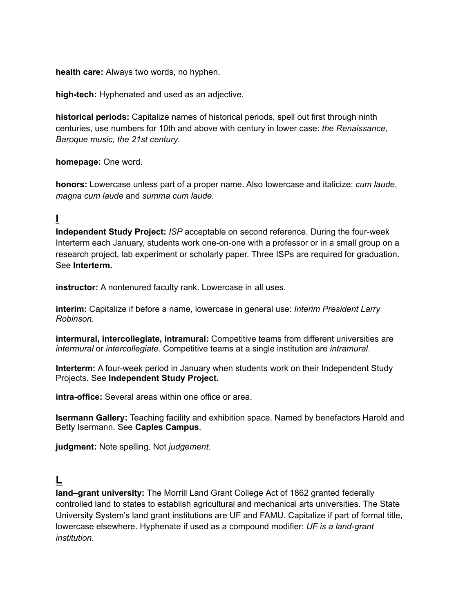**health care:** Always two words, no hyphen.

**high-tech:** Hyphenated and used as an adjective.

**historical periods:** Capitalize names of historical periods, spell out first through ninth centuries, use numbers for 10th and above with century in lower case: *the Renaissance, Baroque music, the 21st century*.

**homepage:** One word.

**honors:** Lowercase unless part of a proper name. Also lowercase and italicize: *cum laude*, *magna cum laude* and *summa cum laude*.

#### <span id="page-11-0"></span>**I**

**Independent Study Project:** *ISP* acceptable on second reference. During the four-week Interterm each January, students work one-on-one with a professor or in a small group on a research project, lab experiment or scholarly paper. Three ISPs are required for graduation. See **Interterm.**

**instructor:** A nontenured faculty rank. Lowercase in all uses.

**interim:** Capitalize if before a name, lowercase in general use: *Interim President Larry Robinson.*

**intermural, intercollegiate, intramural:** Competitive teams from different universities are *intermural* or *intercollegiate*. Competitive teams at a single institution are *intramural*.

**Interterm:** A four-week period in January when students work on their Independent Study Projects. See **Independent Study Project.**

**intra-office:** Several areas within one office or area.

**Isermann Gallery:** Teaching facility and exhibition space. Named by benefactors Harold and Betty Isermann. See **Caples Campus**.

**judgment:** Note spelling. Not *judgement.*

#### <span id="page-11-1"></span>**L**

**land–grant university:** The Morrill Land Grant College Act of 1862 granted federally controlled land to states to establish agricultural and mechanical arts universities. The State University System's land grant institutions are UF and FAMU. Capitalize if part of formal title, lowercase elsewhere. Hyphenate if used as a compound modifier: *UF is a land-grant institution.*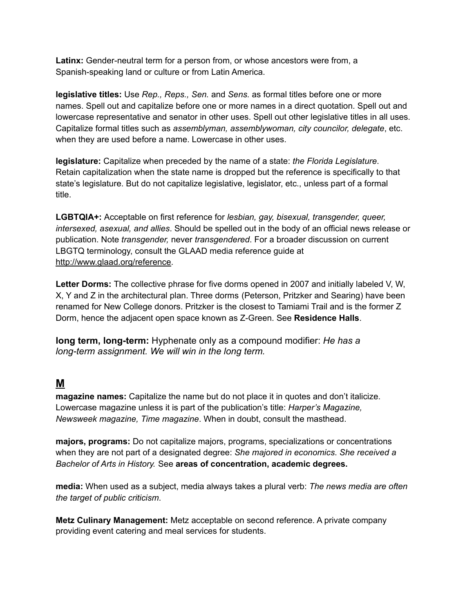**Latinx:** Gender-neutral term for a person from, or whose ancestors were from, a Spanish-speaking land or culture or from Latin America.

**legislative titles:** Use *Rep., Reps., Sen.* and *Sens.* as formal titles before one or more names. Spell out and capitalize before one or more names in a direct quotation. Spell out and lowercase representative and senator in other uses. Spell out other legislative titles in all uses. Capitalize formal titles such as *assemblyman, assemblywoman, city councilor, delegate*, etc. when they are used before a name. Lowercase in other uses.

**legislature:** Capitalize when preceded by the name of a state: *the Florida Legislature*. Retain capitalization when the state name is dropped but the reference is specifically to that state's legislature. But do not capitalize legislative, legislator, etc., unless part of a formal title.

**LGBTQIA+:** Acceptable on first reference for *lesbian, gay, bisexual, transgender, queer, intersexed, asexual, and allies*. Should be spelled out in the body of an official news release or publication. Note *transgender,* never *transgendered*. For a broader discussion on current LBGTQ terminology, consult the GLAAD media reference guide at <http://www.glaad.org/reference>.

**Letter Dorms:** The collective phrase for five dorms opened in 2007 and initially labeled V, W, X, Y and Z in the architectural plan. Three dorms (Peterson, Pritzker and Searing) have been renamed for New College donors. Pritzker is the closest to Tamiami Trail and is the former Z Dorm, hence the adjacent open space known as Z-Green. See **Residence Halls**.

**long term, long-term:** Hyphenate only as a compound modifier: *He has a long-term assignment. We will win in the long term.*

#### <span id="page-12-0"></span>**M**

**magazine names:** Capitalize the name but do not place it in quotes and don't italicize. Lowercase magazine unless it is part of the publication's title: *Harper's Magazine, Newsweek magazine, Time magazine*. When in doubt, consult the masthead.

**majors, programs:** Do not capitalize majors, programs, specializations or concentrations when they are not part of a designated degree: *She majored in economics*. *She received a Bachelor of Arts in History.* See **areas of concentration, academic degrees.**

**media:** When used as a subject, media always takes a plural verb: *The news media are often the target of public criticism*.

**Metz Culinary Management:** Metz acceptable on second reference. A private company providing event catering and meal services for students.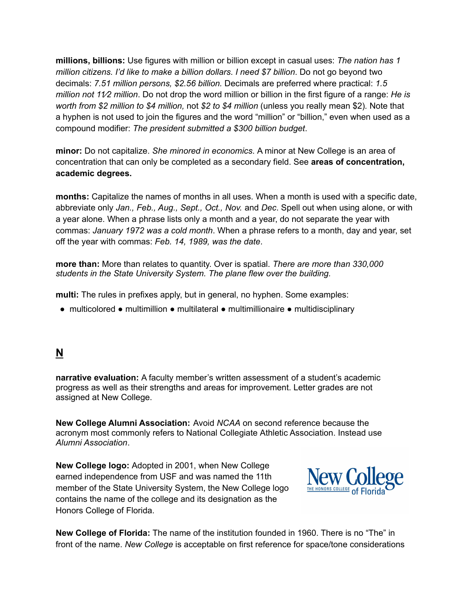**millions, billions:** Use figures with million or billion except in casual uses: *The nation has 1 million citizens. I'd like to make a billion dollars*. *I need \$7 billion*. Do not go beyond two decimals: *7.51 million persons, \$2.56 billion.* Decimals are preferred where practical: *1.5 million not 11⁄2 million*. Do not drop the word million or billion in the first figure of a range: *He is worth from \$2 million to \$4 million,* not *\$2 to \$4 million* (unless you really mean \$2)*.* Note that a hyphen is not used to join the figures and the word "million" or "billion," even when used as a compound modifier: *The president submitted a \$300 billion budget*.

**minor:** Do not capitalize. *She minored in economics*. A minor at New College is an area of concentration that can only be completed as a secondary field. See **areas of concentration, academic degrees.**

**months:** Capitalize the names of months in all uses. When a month is used with a specific date, abbreviate only *Jan., Feb., Aug., Sept., Oct., Nov.* and *Dec*. Spell out when using alone, or with a year alone. When a phrase lists only a month and a year, do not separate the year with commas: *January 1972 was a cold month*. When a phrase refers to a month, day and year, set off the year with commas: *Feb. 14, 1989, was the date*.

**more than:** More than relates to quantity. Over is spatial. *There are more than 330,000 students in the State University System. The plane flew over the building.*

**multi:** The rules in prefixes apply, but in general, no hyphen. Some examples:

● multicolored ● multimillion ● multilateral ● multimillionaire ● multidisciplinary

#### <span id="page-13-0"></span>**N**

**narrative evaluation:** A faculty member's written assessment of a student's academic progress as well as their strengths and areas for improvement. Letter grades are not assigned at New College.

**New College Alumni Association:** Avoid *NCAA* on second reference because the acronym most commonly refers to National Collegiate Athletic Association. Instead use *Alumni Association*.

**New College logo:** Adopted in 2001, when New College earned independence from USF and was named the 11th member of the State University System, the New College logo contains the name of the college and its designation as the Honors College of Florida.



**New College of Florida:** The name of the institution founded in 1960. There is no "The" in front of the name. *New College* is acceptable on first reference for space/tone considerations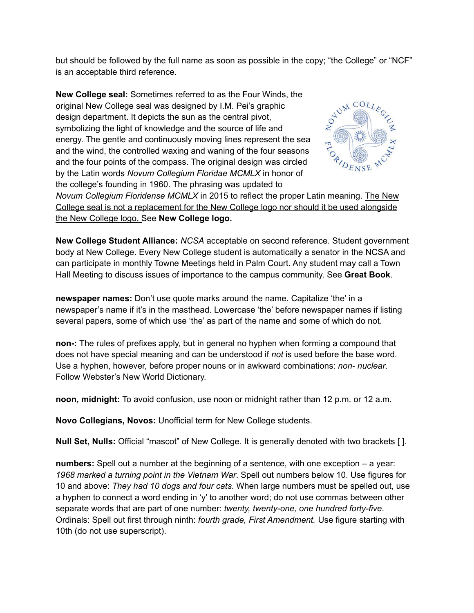but should be followed by the full name as soon as possible in the copy; "the College" or "NCF" is an acceptable third reference.

**New College seal:** Sometimes referred to as the Four Winds, the original New College seal was designed by I.M. Pei's graphic design department. It depicts the sun as the central pivot, symbolizing the light of knowledge and the source of life and energy. The gentle and continuously moving lines represent the sea and the wind, the controlled waxing and waning of the four seasons and the four points of the compass. The original design was circled by the Latin words *Novum Collegium Floridae MCMLX* in honor of the college's founding in 1960. The phrasing was updated to



*Novum Collegium Floridense MCMLX* in 2015 to reflect the proper Latin meaning. The New College seal is not a replacement for the New College logo nor should it be used alongside the New College logo. See **New College logo.**

**New College Student Alliance:** *NCSA* acceptable on second reference. Student government body at New College. Every New College student is automatically a senator in the NCSA and can participate in monthly Towne Meetings held in Palm Court. Any student may call a Town Hall Meeting to discuss issues of importance to the campus community. See **Great Book**.

**newspaper names:** Don't use quote marks around the name. Capitalize 'the' in a newspaper's name if it's in the masthead. Lowercase 'the' before newspaper names if listing several papers, some of which use 'the' as part of the name and some of which do not.

**non-:** The rules of prefixes apply, but in general no hyphen when forming a compound that does not have special meaning and can be understood if *not* is used before the base word. Use a hyphen, however, before proper nouns or in awkward combinations: *non- nuclear*. Follow Webster's New World Dictionary.

**noon, midnight:** To avoid confusion, use noon or midnight rather than 12 p.m. or 12 a.m.

**Novo Collegians, Novos:** Unofficial term for New College students.

**Null Set, Nulls:** Official "mascot" of New College. It is generally denoted with two brackets [ ].

**numbers:** Spell out a number at the beginning of a sentence, with one exception – a year: *1968 marked a turning point in the Vietnam War*. Spell out numbers below 10. Use figures for 10 and above: *They had 10 dogs and four cats*. When large numbers must be spelled out, use a hyphen to connect a word ending in 'y' to another word; do not use commas between other separate words that are part of one number: *twenty, twenty-one, one hundred forty-five*. Ordinals: Spell out first through ninth: *fourth grade, First Amendment.* Use figure starting with 10th (do not use superscript).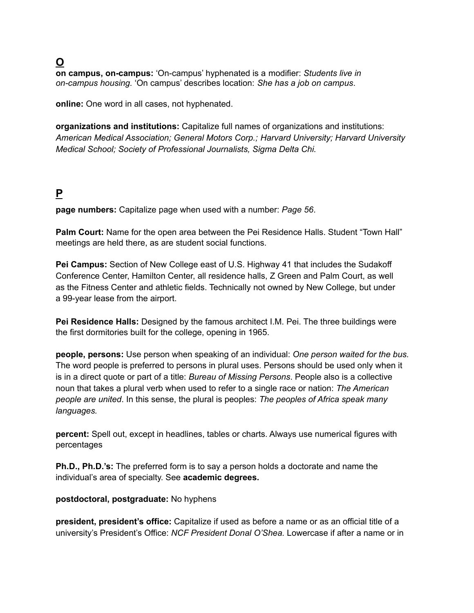<span id="page-15-0"></span>**O**

**on campus, on-campus:** 'On-campus' hyphenated is a modifier: *Students live in on-campus housing.* 'On campus' describes location: *She has a job on campus*.

**online:** One word in all cases, not hyphenated.

**organizations and institutions:** Capitalize full names of organizations and institutions: *American Medical Association; General Motors Corp.; Harvard University; Harvard University Medical School; Society of Professional Journalists, Sigma Delta Chi.*

## <span id="page-15-1"></span>**P**

**page numbers:** Capitalize page when used with a number: *Page 56*.

**Palm Court:** Name for the open area between the Pei Residence Halls. Student "Town Hall" meetings are held there, as are student social functions.

**Pei Campus:** Section of New College east of U.S. Highway 41 that includes the Sudakoff Conference Center, Hamilton Center, all residence halls, Z Green and Palm Court, as well as the Fitness Center and athletic fields. Technically not owned by New College, but under a 99-year lease from the airport.

**Pei Residence Halls:** Designed by the famous architect I.M. Pei. The three buildings were the first dormitories built for the college, opening in 1965.

**people, persons:** Use person when speaking of an individual: *One person waited for the bus.* The word people is preferred to persons in plural uses. Persons should be used only when it is in a direct quote or part of a title: *Bureau of Missing Persons*. People also is a collective noun that takes a plural verb when used to refer to a single race or nation: *The American people are united*. In this sense, the plural is peoples: *The peoples of Africa speak many languages.*

**percent:** Spell out, except in headlines, tables or charts. Always use numerical figures with percentages

**Ph.D., Ph.D.'s:** The preferred form is to say a person holds a doctorate and name the individual's area of specialty. See **academic degrees.**

#### **postdoctoral, postgraduate:** No hyphens

**president, president's office:** Capitalize if used as before a name or as an official title of a university's President's Office: *NCF President Donal O'Shea.* Lowercase if after a name or in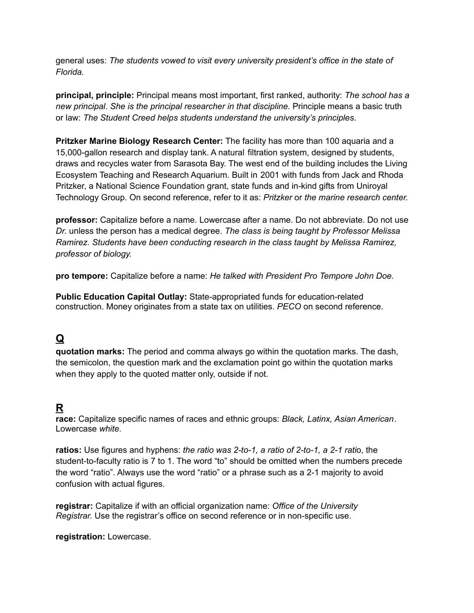general uses: *The students vowed to visit every university president's office in the state of Florida.*

**principal, principle:** Principal means most important, first ranked, authority: *The school has a new principal*. *She is the principal researcher in that discipline.* Principle means a basic truth or law: *The Student Creed helps students understand the university's principles*.

**Pritzker Marine Biology Research Center:** The facility has more than 100 aquaria and a 15,000-gallon research and display tank. A natural filtration system, designed by students, draws and recycles water from Sarasota Bay. The west end of the building includes the Living Ecosystem Teaching and Research Aquarium. Built in 2001 with funds from Jack and Rhoda Pritzker, a National Science Foundation grant, state funds and in-kind gifts from Uniroyal Technology Group. On second reference, refer to it as: *Pritzker* or *the marine research center.*

**professor:** Capitalize before a name. Lowercase after a name. Do not abbreviate. Do not use *Dr.* unless the person has a medical degree. *The class is being taught by Professor Melissa Ramirez. Students have been conducting research in the class taught by Melissa Ramirez, professor of biology.*

**pro tempore:** Capitalize before a name: *He talked with President Pro Tempore John Doe.*

**Public Education Capital Outlay:** State-appropriated funds for education-related construction. Money originates from a state tax on utilities. *PECO* on second reference.

## <span id="page-16-0"></span>**Q**

**quotation marks:** The period and comma always go within the quotation marks. The dash, the semicolon, the question mark and the exclamation point go within the quotation marks when they apply to the quoted matter only, outside if not.

## <span id="page-16-1"></span>**R**

**race:** Capitalize specific names of races and ethnic groups: *Black, Latinx, Asian American*. Lowercase *white*.

**ratios:** Use figures and hyphens: *the ratio was 2-to-1, a ratio of 2-to-1, a 2-1 rati*o, the student-to-faculty ratio is 7 to 1. The word "to" should be omitted when the numbers precede the word "ratio". Always use the word "ratio" or a phrase such as a 2-1 majority to avoid confusion with actual figures.

**registrar:** Capitalize if with an official organization name: *Office of the University Registrar.* Use the registrar's office on second reference or in non-specific use.

**registration:** Lowercase.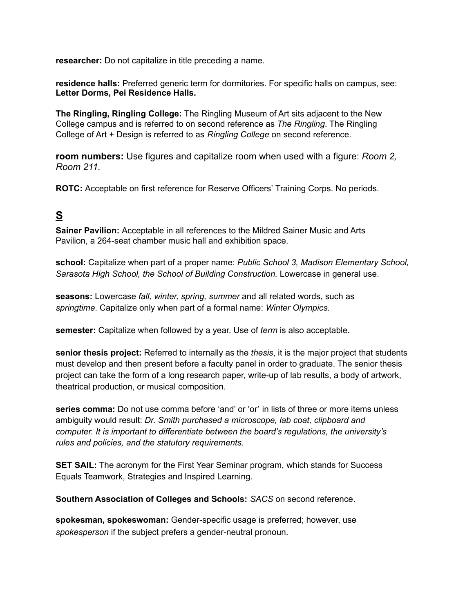**researcher:** Do not capitalize in title preceding a name.

**residence halls:** Preferred generic term for dormitories. For specific halls on campus, see: **Letter Dorms, Pei Residence Halls.**

**The Ringling, Ringling College:** The Ringling Museum of Art sits adjacent to the New College campus and is referred to on second reference as *The Ringling*. The Ringling College of Art + Design is referred to as *Ringling College* on second reference.

**room numbers:** Use figures and capitalize room when used with a figure: *Room 2, Room 211.*

**ROTC:** Acceptable on first reference for Reserve Officers' Training Corps. No periods.

## <span id="page-17-0"></span>**S**

**Sainer Pavilion:** Acceptable in all references to the Mildred Sainer Music and Arts Pavilion, a 264-seat chamber music hall and exhibition space.

**school:** Capitalize when part of a proper name: *Public School 3, Madison Elementary School, Sarasota High School, the School of Building Construction.* Lowercase in general use.

**seasons:** Lowercase *fall, winter, spring, summer* and all related words, such as *springtime*. Capitalize only when part of a formal name: *Winter Olympics.*

**semester:** Capitalize when followed by a year. Use of *term* is also acceptable.

**senior thesis project:** Referred to internally as the *thesis*, it is the major project that students must develop and then present before a faculty panel in order to graduate. The senior thesis project can take the form of a long research paper, write-up of lab results, a body of artwork, theatrical production, or musical composition.

**series comma:** Do not use comma before 'and' or 'or' in lists of three or more items unless ambiguity would result: *Dr. Smith purchased a microscope, lab coat, clipboard and computer. It is important to differentiate between the board's regulations, the university's rules and policies, and the statutory requirements.*

**SET SAIL:** The acronym for the First Year Seminar program, which stands for Success Equals Teamwork, Strategies and Inspired Learning.

**Southern Association of Colleges and Schools:** *SACS* on second reference.

**spokesman, spokeswoman:** Gender-specific usage is preferred; however, use *spokesperson* if the subject prefers a gender-neutral pronoun.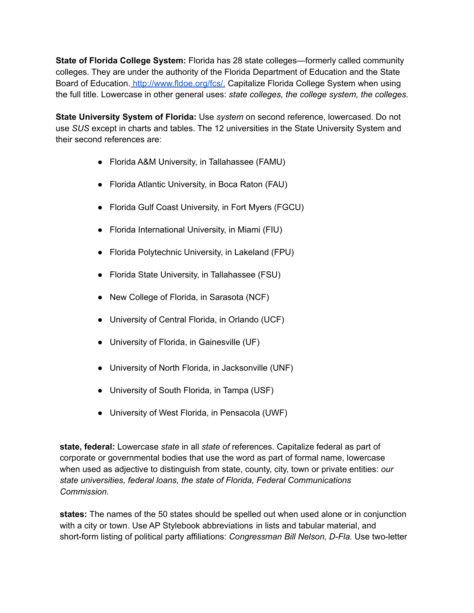**State of Florida College System:** Florida has 28 state colleges—formerly called community colleges. They are under the authority of the Florida Department of Education and the State Board of Education. [http://www.fldoe.org/fcs/.](http://www.fldoe.org/fcs/) Capitalize Florida College System when using the full title. Lowercase in other general uses: *state colleges, the college system, the colleges.*

**State University System of Florida:** Use *system* on second reference, lowercased. Do not use *SUS* except in charts and tables. The 12 universities in the State University System and their second references are:

- Florida A&M University, in Tallahassee (FAMU)
- Florida Atlantic University, in Boca Raton (FAU)
- Florida Gulf Coast University, in Fort Myers (FGCU)
- Florida International University, in Miami (FIU)
- Florida Polytechnic University, in Lakeland (FPU)
- Florida State University, in Tallahassee (FSU)
- New College of Florida, in Sarasota (NCF)
- University of Central Florida, in Orlando (UCF)
- University of Florida, in Gainesville (UF)
- University of North Florida, in Jacksonville (UNF)
- University of South Florida, in Tampa (USF)
- University of West Florida, in Pensacola (UWF)

**state, federal:** Lowercase *state* in all *state of* references. Capitalize federal as part of corporate or governmental bodies that use the word as part of formal name, lowercase when used as adjective to distinguish from state, county, city, town or private entities: *our state universities, federal loans, the state of Florida, Federal Communications Commission.*

**states:** The names of the 50 states should be spelled out when used alone or in conjunction with a city or town. Use AP Stylebook abbreviations in lists and tabular material, and short-form listing of political party affiliations: *Congressman Bill Nelson, D-Fla.* Use two-letter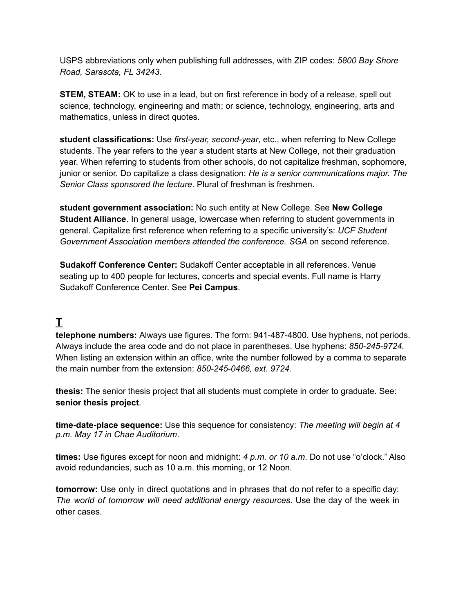USPS abbreviations only when publishing full addresses, with ZIP codes: *5800 Bay Shore Road, Sarasota, FL 34243.*

**STEM, STEAM:** OK to use in a lead, but on first reference in body of a release, spell out science, technology, engineering and math; or science, technology, engineering, arts and mathematics, unless in direct quotes.

**student classifications:** Use *first-year, second-year*, etc., when referring to New College students. The year refers to the year a student starts at New College, not their graduation year. When referring to students from other schools, do not capitalize freshman, sophomore, junior or senior. Do capitalize a class designation: *He is a senior communications major. The Senior Class sponsored the lecture*. Plural of freshman is freshmen.

**student government association:** No such entity at New College. See **New College Student Alliance**. In general usage, lowercase when referring to student governments in general. Capitalize first reference when referring to a specific university's: *UCF Student Government Association members attended the conference. SGA* on second reference.

**Sudakoff Conference Center:** Sudakoff Center acceptable in all references. Venue seating up to 400 people for lectures, concerts and special events. Full name is Harry Sudakoff Conference Center. See **Pei Campus**.

## <span id="page-19-0"></span>**T**

**telephone numbers:** Always use figures. The form: 941-487-4800. Use hyphens, not periods. Always include the area code and do not place in parentheses. Use hyphens: *850-245-9724.* When listing an extension within an office, write the number followed by a comma to separate the main number from the extension: *850-245-0466, ext. 9724.*

**thesis:** The senior thesis project that all students must complete in order to graduate. See: **senior thesis project**.

**time-date-place sequence:** Use this sequence for consistency: *The meeting will begin at 4 p.m. May 17 in Chae Auditorium*.

**times:** Use figures except for noon and midnight: *4 p.m. or 10 a.m*. Do not use "o'clock." Also avoid redundancies, such as 10 a.m. this morning, or 12 Noon.

**tomorrow:** Use only in direct quotations and in phrases that do not refer to a specific day: *The world of tomorrow will need additional energy resources.* Use the day of the week in other cases.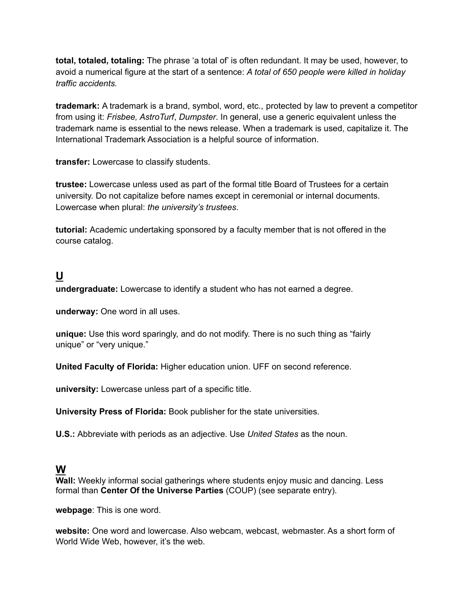**total, totaled, totaling:** The phrase 'a total of' is often redundant. It may be used, however, to avoid a numerical figure at the start of a sentence: *A total of 650 people were killed in holiday traffic accidents.*

**trademark:** A trademark is a brand, symbol, word, etc., protected by law to prevent a competitor from using it: *Frisbee, AstroTurf*, *Dumpster*. In general, use a generic equivalent unless the trademark name is essential to the news release. When a trademark is used, capitalize it. The International Trademark Association is a helpful source of information.

**transfer:** Lowercase to classify students.

**trustee:** Lowercase unless used as part of the formal title Board of Trustees for a certain university. Do not capitalize before names except in ceremonial or internal documents. Lowercase when plural: *the university's trustees*.

**tutorial:** Academic undertaking sponsored by a faculty member that is not offered in the course catalog.

#### <span id="page-20-0"></span>**U**

**undergraduate:** Lowercase to identify a student who has not earned a degree.

**underway:** One word in all uses.

**unique:** Use this word sparingly, and do not modify. There is no such thing as "fairly unique" or "very unique."

**United Faculty of Florida:** Higher education union. UFF on second reference.

**university:** Lowercase unless part of a specific title.

**University Press of Florida:** Book publisher for the state universities.

**U.S.:** Abbreviate with periods as an adjective. Use *United States* as the noun.

#### <span id="page-20-1"></span>**W**

**Wall:** Weekly informal social gatherings where students enjoy music and dancing. Less formal than **Center Of the Universe Parties** (COUP) (see separate entry).

**webpage**: This is one word.

**website:** One word and lowercase. Also webcam, webcast, webmaster. As a short form of World Wide Web, however, it's the web.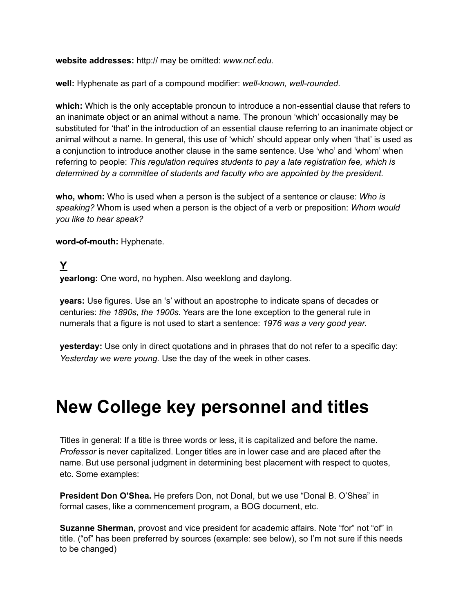**website addresses:** http:// may be omitted: *[www.ncf.edu.](http://www.ncf.edu/)*

**well:** Hyphenate as part of a compound modifier: *well-known, well-rounded*.

**which:** Which is the only acceptable pronoun to introduce a non-essential clause that refers to an inanimate object or an animal without a name. The pronoun 'which' occasionally may be substituted for 'that' in the introduction of an essential clause referring to an inanimate object or animal without a name. In general, this use of 'which' should appear only when 'that' is used as a conjunction to introduce another clause in the same sentence. Use 'who' and 'whom' when referring to people: *This regulation requires students to pay a late registration fee, which is determined by a committee of students and faculty who are appointed by the president.*

**who, whom:** Who is used when a person is the subject of a sentence or clause: *Who is speaking?* Whom is used when a person is the object of a verb or preposition: *Whom would you like to hear speak?*

**word-of-mouth:** Hyphenate.

## <span id="page-21-0"></span>**Y**

**yearlong:** One word, no hyphen. Also weeklong and daylong.

**years:** Use figures. Use an 's' without an apostrophe to indicate spans of decades or centuries: *the 1890s, the 1900s*. Years are the lone exception to the general rule in numerals that a figure is not used to start a sentence: *1976 was a very good year.*

**yesterday:** Use only in direct quotations and in phrases that do not refer to a specific day: *Yesterday we were young*. Use the day of the week in other cases.

# **New College key personnel and titles**

Titles in general: If a title is three words or less, it is capitalized and before the name. *Professor* is never capitalized. Longer titles are in lower case and are placed after the name. But use personal judgment in determining best placement with respect to quotes, etc. Some examples:

**President Don O'Shea.** He prefers Don, not Donal, but we use "Donal B. O'Shea" in formal cases, like a commencement program, a BOG document, etc.

**Suzanne Sherman,** provost and vice president for academic affairs. Note "for" not "of" in title. ("of" has been preferred by sources (example: see below), so I'm not sure if this needs to be changed)